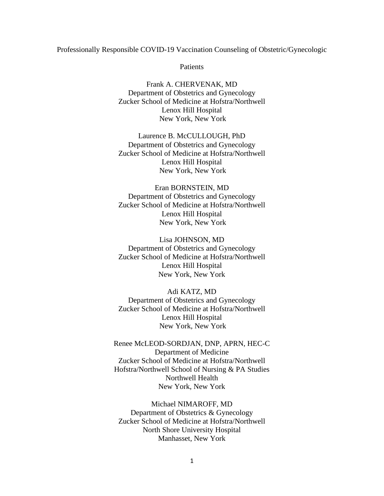### Professionally Responsible COVID-19 Vaccination Counseling of Obstetric/Gynecologic

Patients

Frank A. CHERVENAK, MD Department of Obstetrics and Gynecology Zucker School of Medicine at Hofstra/Northwell Lenox Hill Hospital New York, New York

Laurence B. McCULLOUGH, PhD Department of Obstetrics and Gynecology Zucker School of Medicine at Hofstra/Northwell Lenox Hill Hospital New York, New York

# Eran BORNSTEIN, MD Department of Obstetrics and Gynecology Zucker School of Medicine at Hofstra/Northwell Lenox Hill Hospital New York, New York

Lisa JOHNSON, MD Department of Obstetrics and Gynecology Zucker School of Medicine at Hofstra/Northwell Lenox Hill Hospital New York, New York

Adi KATZ, MD Department of Obstetrics and Gynecology Zucker School of Medicine at Hofstra/Northwell Lenox Hill Hospital New York, New York

Renee McLEOD-SORDJAN, DNP, APRN, HEC-C Department of Medicine Zucker School of Medicine at Hofstra/Northwell Hofstra/Northwell School of Nursing & PA Studies Northwell Health New York, New York

Michael NIMAROFF, MD Department of Obstetrics & Gynecology Zucker School of Medicine at Hofstra/Northwell North Shore University Hospital Manhasset, New York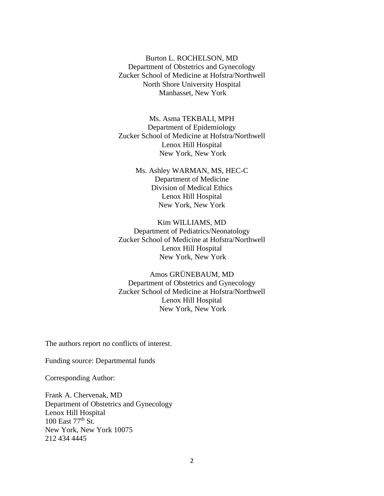Burton L. ROCHELSON, MD Department of Obstetrics and Gynecology Zucker School of Medicine at Hofstra/Northwell North Shore University Hospital Manhasset, New York

Ms. Asma TEKBALI, MPH Department of Epidemiology Zucker School of Medicine at Hofstra/Northwell Lenox Hill Hospital New York, New York

> Ms. Ashley WARMAN, MS, HEC-C Department of Medicine Division of Medical Ethics Lenox Hill Hospital New York, New York

Kim WILLIAMS, MD Department of Pediatrics/Neonatology Zucker School of Medicine at Hofstra/Northwell Lenox Hill Hospital New York, New York

Amos GRÜNEBAUM, MD Department of Obstetrics and Gynecology Zucker School of Medicine at Hofstra/Northwell Lenox Hill Hospital New York, New York

The authors report no conflicts of interest.

Funding source: Departmental funds

Corresponding Author:

Frank A. Chervenak, MD Department of Obstetrics and Gynecology Lenox Hill Hospital 100 East 77th St. New York, New York 10075 212 434 4445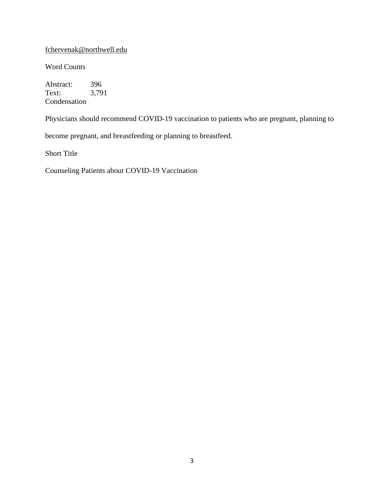# [fchervenak@northwell.edu](mailto:fchervenak@northwell.edu)

Word Counts

Abstract: 396<br>Text: 3,79 3,791 Condensation

Physicians should recommend COVID-19 vaccination to patients who are pregnant, planning to

become pregnant, and breastfeeding or planning to breastfeed.

Short Title

Counseling Patients about COVID-19 Vaccination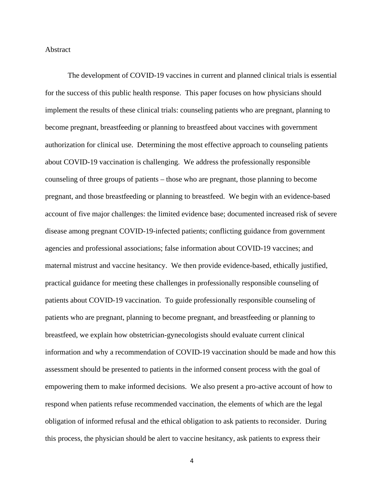### Abstract

The development of COVID-19 vaccines in current and planned clinical trials is essential for the success of this public health response. This paper focuses on how physicians should implement the results of these clinical trials: counseling patients who are pregnant, planning to become pregnant, breastfeeding or planning to breastfeed about vaccines with government authorization for clinical use. Determining the most effective approach to counseling patients about COVID-19 vaccination is challenging. We address the professionally responsible counseling of three groups of patients – those who are pregnant, those planning to become pregnant, and those breastfeeding or planning to breastfeed. We begin with an evidence-based account of five major challenges: the limited evidence base; documented increased risk of severe disease among pregnant COVID-19-infected patients; conflicting guidance from government agencies and professional associations; false information about COVID-19 vaccines; and maternal mistrust and vaccine hesitancy. We then provide evidence-based, ethically justified, practical guidance for meeting these challenges in professionally responsible counseling of patients about COVID-19 vaccination. To guide professionally responsible counseling of patients who are pregnant, planning to become pregnant, and breastfeeding or planning to breastfeed, we explain how obstetrician-gynecologists should evaluate current clinical information and why a recommendation of COVID-19 vaccination should be made and how this assessment should be presented to patients in the informed consent process with the goal of empowering them to make informed decisions. We also present a pro-active account of how to respond when patients refuse recommended vaccination, the elements of which are the legal obligation of informed refusal and the ethical obligation to ask patients to reconsider. During this process, the physician should be alert to vaccine hesitancy, ask patients to express their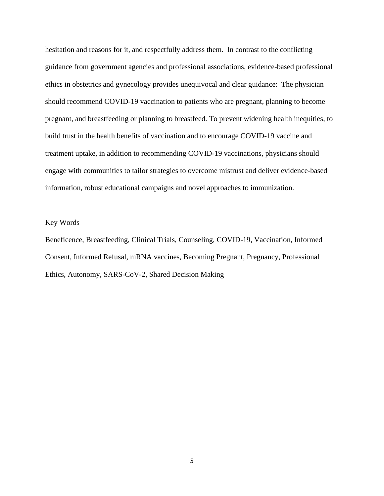hesitation and reasons for it, and respectfully address them. In contrast to the conflicting guidance from government agencies and professional associations, evidence-based professional ethics in obstetrics and gynecology provides unequivocal and clear guidance: The physician should recommend COVID-19 vaccination to patients who are pregnant, planning to become pregnant, and breastfeeding or planning to breastfeed. To prevent widening health inequities, to build trust in the health benefits of vaccination and to encourage COVID-19 vaccine and treatment uptake, in addition to recommending COVID-19 vaccinations, physicians should engage with communities to tailor strategies to overcome mistrust and deliver evidence-based information, robust educational campaigns and novel approaches to immunization.

### Key Words

Beneficence, Breastfeeding, Clinical Trials, Counseling, COVID-19, Vaccination, Informed Consent, Informed Refusal, mRNA vaccines, Becoming Pregnant, Pregnancy, Professional Ethics, Autonomy, SARS-CoV-2, Shared Decision Making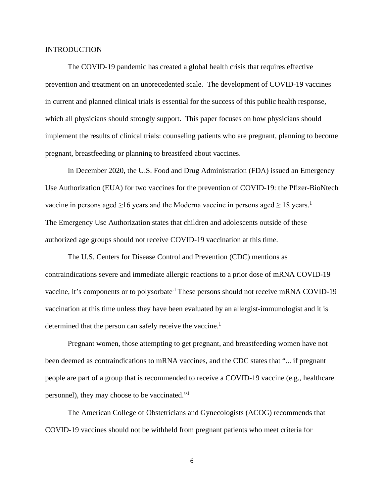### INTRODUCTION

The COVID-19 pandemic has created a global health crisis that requires effective prevention and treatment on an unprecedented scale. The development of COVID-19 vaccines in current and planned clinical trials is essential for the success of this public health response, which all physicians should strongly support. This paper focuses on how physicians should implement the results of clinical trials: counseling patients who are pregnant, planning to become pregnant, breastfeeding or planning to breastfeed about vaccines.

In December 2020, the U.S. Food and Drug Administration (FDA) issued an Emergency Use Authorization (EUA) for two vaccines for the prevention of COVID-19: the Pfizer-BioNtech vaccine in persons aged  $\geq$ 16 years and the Moderna vaccine in persons aged  $\geq$  18 years.<sup>1</sup> The Emergency Use Authorization states that children and adolescents outside of these authorized age groups should not receive COVID-19 vaccination at this time.

The U.S. Centers for Disease Control and Prevention (CDC) mentions as contraindications severe and immediate allergic reactions to a prior dose of mRNA COVID-19 vaccine, it's components or to polysorbate.1 These persons should not receive mRNA COVID-19 vaccination at this time unless they have been evaluated by an allergist-immunologist and it is determined that the person can safely receive the vaccine.<sup>1</sup>

Pregnant women, those attempting to get pregnant, and breastfeeding women have not been deemed as contraindications to mRNA vaccines, and the CDC states that "... if pregnant people are part of a group that is recommended to receive a COVID-19 vaccine (e.g., healthcare personnel), they may choose to be vaccinated."1

The American College of Obstetricians and Gynecologists (ACOG) recommends that COVID-19 vaccines should not be withheld from pregnant patients who meet criteria for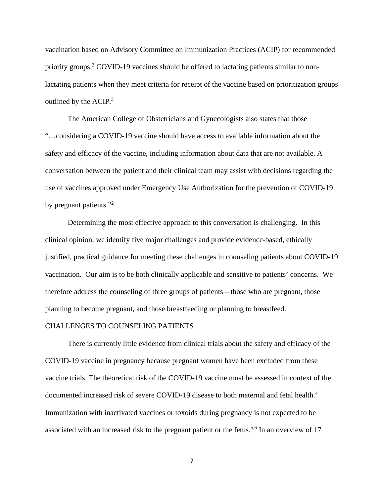vaccination based on Advisory Committee on Immunization Practices (ACIP) for recommended priority groups.<sup>2</sup> COVID-19 vaccines should be offered to lactating patients similar to nonlactating patients when they meet criteria for receipt of the vaccine based on prioritization groups outlined by the ACIP.<sup>3</sup>

The American College of Obstetricians and Gynecologists also states that those "…considering a COVID-19 vaccine should have access to available information about the safety and efficacy of the vaccine, including information about data that are not available. A conversation between the patient and their clinical team may assist with decisions regarding the use of vaccines approved under Emergency Use Authorization for the prevention of COVID-19 by pregnant patients."<sup>2</sup>

Determining the most effective approach to this conversation is challenging. In this clinical opinion, we identify five major challenges and provide evidence-based, ethically justified, practical guidance for meeting these challenges in counseling patients about COVID-19 vaccination. Our aim is to be both clinically applicable and sensitive to patients' concerns. We therefore address the counseling of three groups of patients – those who are pregnant, those planning to become pregnant, and those breastfeeding or planning to breastfeed.

### CHALLENGES TO COUNSELING PATIENTS

 There is currently little evidence from clinical trials about the safety and efficacy of the COVID-19 vaccine in pregnancy because pregnant women have been excluded from these vaccine trials. The theoretical risk of the COVID-19 vaccine must be assessed in context of the documented increased risk of severe COVID-19 disease to both maternal and fetal health.<sup>4</sup> Immunization with inactivated vaccines or toxoids during pregnancy is not expected to be associated with an increased risk to the pregnant patient or the fetus.<sup>5,6</sup> In an overview of 17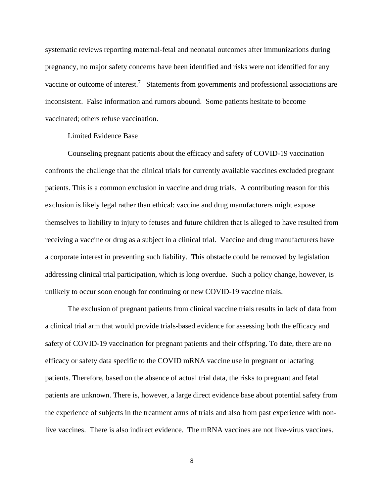systematic reviews reporting maternal-fetal and neonatal outcomes after immunizations during pregnancy, no major safety concerns have been identified and risks were not identified for any vaccine or outcome of interest.<sup>7</sup> Statements from governments and professional associations are inconsistent. False information and rumors abound. Some patients hesitate to become vaccinated; others refuse vaccination.

### Limited Evidence Base

Counseling pregnant patients about the efficacy and safety of COVID-19 vaccination confronts the challenge that the clinical trials for currently available vaccines excluded pregnant patients. This is a common exclusion in vaccine and drug trials. A contributing reason for this exclusion is likely legal rather than ethical: vaccine and drug manufacturers might expose themselves to liability to injury to fetuses and future children that is alleged to have resulted from receiving a vaccine or drug as a subject in a clinical trial. Vaccine and drug manufacturers have a corporate interest in preventing such liability. This obstacle could be removed by legislation addressing clinical trial participation, which is long overdue. Such a policy change, however, is unlikely to occur soon enough for continuing or new COVID-19 vaccine trials.

The exclusion of pregnant patients from clinical vaccine trials results in lack of data from a clinical trial arm that would provide trials-based evidence for assessing both the efficacy and safety of COVID-19 vaccination for pregnant patients and their offspring. To date, there are no efficacy or safety data specific to the COVID mRNA vaccine use in pregnant or lactating patients. Therefore, based on the absence of actual trial data, the risks to pregnant and fetal patients are unknown. There is, however, a large direct evidence base about potential safety from the experience of subjects in the treatment arms of trials and also from past experience with nonlive vaccines. There is also indirect evidence. The mRNA vaccines are not live-virus vaccines.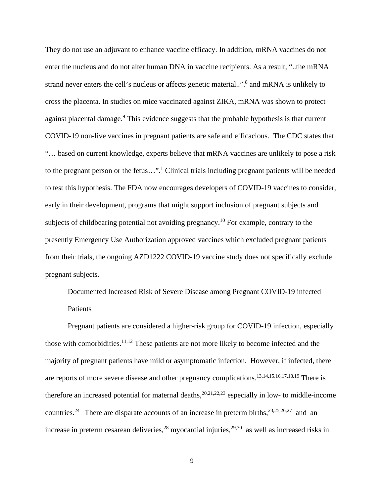They do not use an adjuvant to enhance vaccine efficacy. In addition, mRNA vaccines do not enter the nucleus and do not alter human DNA in vaccine recipients. As a result, "..the mRNA strand never enters the cell's nucleus or affects genetic material..". <sup>8</sup> and mRNA is unlikely to cross the placenta. In studies on mice vaccinated against ZIKA, mRNA was shown to protect against placental damage.<sup>9</sup> This evidence suggests that the probable hypothesis is that current COVID-19 non-live vaccines in pregnant patients are safe and efficacious. The CDC states that "… based on current knowledge, experts believe that mRNA vaccines are unlikely to pose a risk to the pregnant person or the fetus...".<sup>1</sup> Clinical trials including pregnant patients will be needed to test this hypothesis. The FDA now encourages developers of COVID-19 vaccines to consider, early in their development, programs that might support inclusion of pregnant subjects and subjects of childbearing potential not avoiding pregnancy.<sup>10</sup> For example, contrary to the presently Emergency Use Authorization approved vaccines which excluded pregnant patients from their trials, the ongoing AZD1222 COVID-19 vaccine study does not specifically exclude pregnant subjects.

Documented Increased Risk of Severe Disease among Pregnant COVID-19 infected Patients

Pregnant patients are considered a higher-risk group for COVID-19 infection, especially those with comorbidities.<sup>11,12</sup> These patients are not more likely to become infected and the majority of pregnant patients have mild or asymptomatic infection. However, if infected, there are reports of more severe disease and other pregnancy complications.<sup>13,14,15,16,17,18,19</sup> There is therefore an increased potential for maternal deaths, <sup>20,21,22,23</sup> especially in low- to middle-income countries.<sup>24</sup> There are disparate accounts of an increase in preterm births,<sup>23,25,26,27</sup> and an increase in preterm cesarean deliveries,<sup>28</sup> myocardial injuries,<sup>29,30</sup> as well as increased risks in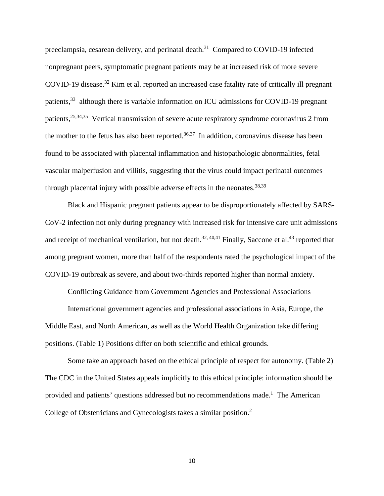preeclampsia, cesarean delivery, and perinatal death.<sup>31</sup> Compared to COVID-19 infected nonpregnant peers, symptomatic pregnant patients may be at increased risk of more severe COVID-19 disease.<sup>32</sup> Kim et al. reported an increased case fatality rate of critically ill pregnant patients,<sup>33</sup> although there is variable information on ICU admissions for COVID-19 pregnant patients,25,34,35 Vertical transmission of severe acute respiratory syndrome coronavirus 2 from the mother to the fetus has also been reported.<sup>36,37</sup> In addition, coronavirus disease has been found to be associated with placental inflammation and histopathologic abnormalities, fetal vascular malperfusion and villitis, suggesting that the virus could impact perinatal outcomes through placental injury with possible adverse effects in the neonates.<sup>38,39</sup>

Black and Hispanic pregnant patients appear to be disproportionately affected by SARS-CoV-2 infection not only during pregnancy with increased risk for intensive care unit admissions and receipt of mechanical ventilation, but not death.<sup>32, 40,41</sup> Finally, Saccone et al.<sup>43</sup> reported that among pregnant women, more than half of the respondents rated the psychological impact of the COVID-19 outbreak as severe, and about two-thirds reported higher than normal anxiety.

Conflicting Guidance from Government Agencies and Professional Associations International government agencies and professional associations in Asia, Europe, the Middle East, and North American, as well as the World Health Organization take differing positions. (Table 1) Positions differ on both scientific and ethical grounds.

Some take an approach based on the ethical principle of respect for autonomy. (Table 2) The CDC in the United States appeals implicitly to this ethical principle: information should be provided and patients' questions addressed but no recommendations made.<sup>1</sup> The American College of Obstetricians and Gynecologists takes a similar position.<sup>2</sup>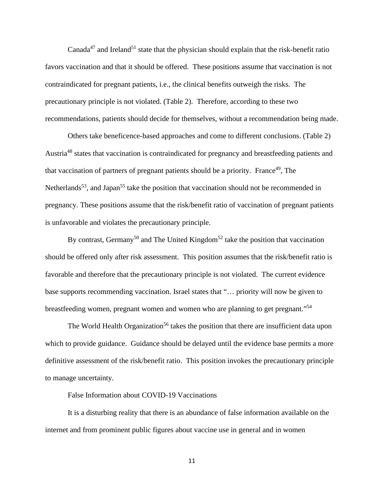Canada<sup>47</sup> and Ireland<sup>51</sup> state that the physician should explain that the risk-benefit ratio favors vaccination and that it should be offered. These positions assume that vaccination is not contraindicated for pregnant patients, i.e., the clinical benefits outweigh the risks. The precautionary principle is not violated. (Table 2). Therefore, according to these two recommendations, patients should decide for themselves, without a recommendation being made.

Others take beneficence-based approaches and come to different conclusions. (Table 2) Austria48 states that vaccination is contraindicated for pregnancy and breastfeeding patients and that vaccination of partners of pregnant patients should be a priority. France<sup>49</sup>, The Netherlands<sup>53</sup>, and Japan<sup>55</sup> take the position that vaccination should not be recommended in pregnancy. These positions assume that the risk/benefit ratio of vaccination of pregnant patients is unfavorable and violates the precautionary principle.

By contrast, Germany<sup>50</sup> and The United Kingdom<sup>52</sup> take the position that vaccination should be offered only after risk assessment. This position assumes that the risk/benefit ratio is favorable and therefore that the precautionary principle is not violated. The current evidence base supports recommending vaccination. Israel states that "… priority will now be given to breastfeeding women, pregnant women and women who are planning to get pregnant."54

The World Health Organization<sup>56</sup> takes the position that there are insufficient data upon which to provide guidance. Guidance should be delayed until the evidence base permits a more definitive assessment of the risk/benefit ratio. This position invokes the precautionary principle to manage uncertainty.

False Information about COVID-19 Vaccinations

It is a disturbing reality that there is an abundance of false information available on the internet and from prominent public figures about vaccine use in general and in women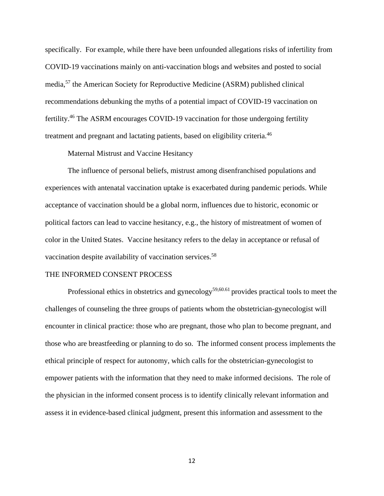specifically. For example, while there have been unfounded allegations risks of infertility from COVID-19 vaccinations mainly on anti-vaccination blogs and websites and posted to social media,<sup>57</sup> the American Society for Reproductive Medicine (ASRM) published clinical recommendations debunking the myths of a potential impact of COVID-19 vaccination on fertility.46 The ASRM encourages COVID-19 vaccination for those undergoing fertility treatment and pregnant and lactating patients, based on eligibility criteria.<sup>46</sup>

### Maternal Mistrust and Vaccine Hesitancy

The influence of personal beliefs, mistrust among disenfranchised populations and experiences with antenatal vaccination uptake is exacerbated during pandemic periods. While acceptance of vaccination should be a global norm, influences due to historic, economic or political factors can lead to vaccine hesitancy, e.g., the history of mistreatment of women of color in the United States. Vaccine hesitancy refers to the delay in acceptance or refusal of vaccination despite availability of vaccination services.<sup>58</sup>

#### THE INFORMED CONSENT PROCESS

Professional ethics in obstetrics and gynecology<sup>59,60.61</sup> provides practical tools to meet the challenges of counseling the three groups of patients whom the obstetrician-gynecologist will encounter in clinical practice: those who are pregnant, those who plan to become pregnant, and those who are breastfeeding or planning to do so. The informed consent process implements the ethical principle of respect for autonomy, which calls for the obstetrician-gynecologist to empower patients with the information that they need to make informed decisions. The role of the physician in the informed consent process is to identify clinically relevant information and assess it in evidence-based clinical judgment, present this information and assessment to the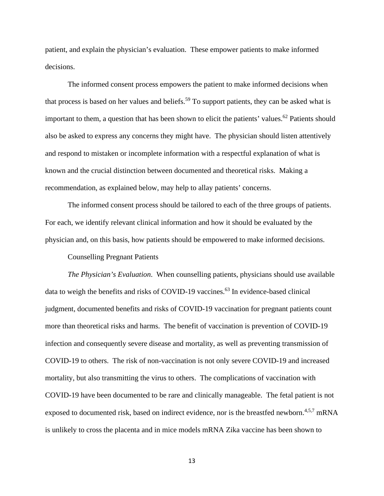patient, and explain the physician's evaluation. These empower patients to make informed decisions.

The informed consent process empowers the patient to make informed decisions when that process is based on her values and beliefs.<sup>59</sup> To support patients, they can be asked what is important to them, a question that has been shown to elicit the patients' values.<sup>62</sup> Patients should also be asked to express any concerns they might have. The physician should listen attentively and respond to mistaken or incomplete information with a respectful explanation of what is known and the crucial distinction between documented and theoretical risks. Making a recommendation, as explained below, may help to allay patients' concerns.

The informed consent process should be tailored to each of the three groups of patients. For each, we identify relevant clinical information and how it should be evaluated by the physician and, on this basis, how patients should be empowered to make informed decisions.

Counselling Pregnant Patients

*The Physician's Evaluation*. When counselling patients, physicians should use available data to weigh the benefits and risks of COVID-19 vaccines. <sup>63</sup> In evidence-based clinical judgment, documented benefits and risks of COVID-19 vaccination for pregnant patients count more than theoretical risks and harms. The benefit of vaccination is prevention of COVID-19 infection and consequently severe disease and mortality, as well as preventing transmission of COVID-19 to others. The risk of non-vaccination is not only severe COVID-19 and increased mortality, but also transmitting the virus to others. The complications of vaccination with COVID-19 have been documented to be rare and clinically manageable. The fetal patient is not exposed to documented risk, based on indirect evidence, nor is the breastfed newborn.<sup>4,5,7</sup> mRNA is unlikely to cross the placenta and in mice models mRNA Zika vaccine has been shown to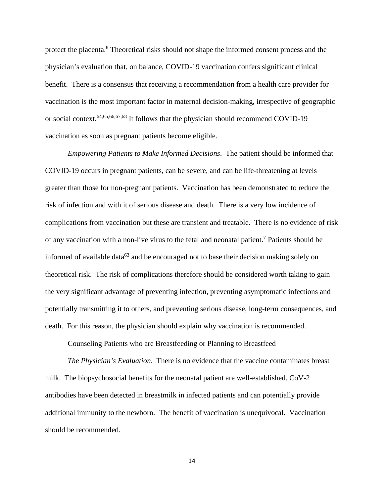protect the placenta.<sup>8</sup> Theoretical risks should not shape the informed consent process and the physician's evaluation that, on balance, COVID-19 vaccination confers significant clinical benefit. There is a consensus that receiving a recommendation from a health care provider for vaccination is the most important factor in maternal decision-making, irrespective of geographic or social context.<sup>64,65,66,67,68</sup> It follows that the physician should recommend COVID-19 vaccination as soon as pregnant patients become eligible.

*Empowering Patients to Make Informed Decisions*. The patient should be informed that COVID-19 occurs in pregnant patients, can be severe, and can be life-threatening at levels greater than those for non-pregnant patients. Vaccination has been demonstrated to reduce the risk of infection and with it of serious disease and death. There is a very low incidence of complications from vaccination but these are transient and treatable. There is no evidence of risk of any vaccination with a non-live virus to the fetal and neonatal patient. <sup>7</sup> Patients should be informed of available data<sup>63</sup> and be encouraged not to base their decision making solely on theoretical risk. The risk of complications therefore should be considered worth taking to gain the very significant advantage of preventing infection, preventing asymptomatic infections and potentially transmitting it to others, and preventing serious disease, long-term consequences, and death. For this reason, the physician should explain why vaccination is recommended.

Counseling Patients who are Breastfeeding or Planning to Breastfeed

*The Physician's Evaluation*. There is no evidence that the vaccine contaminates breast milk. The biopsychosocial benefits for the neonatal patient are well-established. CoV-2 antibodies have been detected in breastmilk in infected patients and can potentially provide additional immunity to the newborn. The benefit of vaccination is unequivocal. Vaccination should be recommended.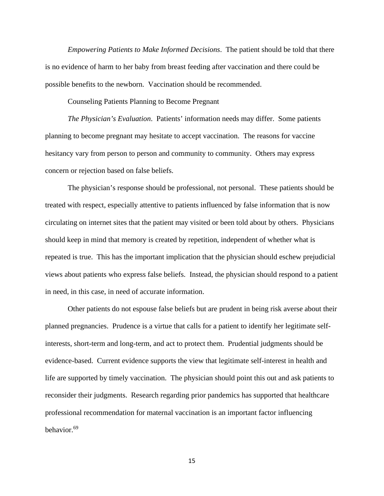*Empowering Patients to Make Informed Decisions*. The patient should be told that there is no evidence of harm to her baby from breast feeding after vaccination and there could be possible benefits to the newborn. Vaccination should be recommended.

Counseling Patients Planning to Become Pregnant

*The Physician's Evaluation*. Patients' information needs may differ. Some patients planning to become pregnant may hesitate to accept vaccination. The reasons for vaccine hesitancy vary from person to person and community to community. Others may express concern or rejection based on false beliefs.

The physician's response should be professional, not personal. These patients should be treated with respect, especially attentive to patients influenced by false information that is now circulating on internet sites that the patient may visited or been told about by others. Physicians should keep in mind that memory is created by repetition, independent of whether what is repeated is true. This has the important implication that the physician should eschew prejudicial views about patients who express false beliefs. Instead, the physician should respond to a patient in need, in this case, in need of accurate information.

Other patients do not espouse false beliefs but are prudent in being risk averse about their planned pregnancies. Prudence is a virtue that calls for a patient to identify her legitimate selfinterests, short-term and long-term, and act to protect them. Prudential judgments should be evidence-based. Current evidence supports the view that legitimate self-interest in health and life are supported by timely vaccination. The physician should point this out and ask patients to reconsider their judgments. Research regarding prior pandemics has supported that healthcare professional recommendation for maternal vaccination is an important factor influencing behavior.69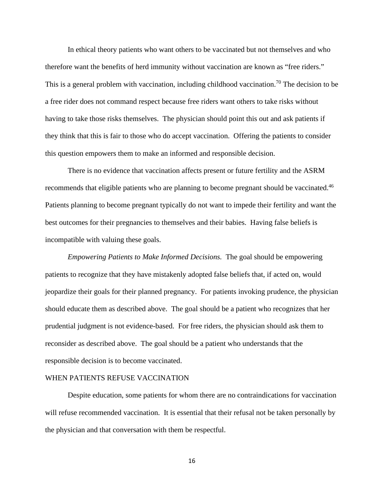In ethical theory patients who want others to be vaccinated but not themselves and who therefore want the benefits of herd immunity without vaccination are known as "free riders." This is a general problem with vaccination, including childhood vaccination.<sup>70</sup> The decision to be a free rider does not command respect because free riders want others to take risks without having to take those risks themselves. The physician should point this out and ask patients if they think that this is fair to those who do accept vaccination. Offering the patients to consider this question empowers them to make an informed and responsible decision.

There is no evidence that vaccination affects present or future fertility and the ASRM recommends that eligible patients who are planning to become pregnant should be vaccinated.<sup>46</sup> Patients planning to become pregnant typically do not want to impede their fertility and want the best outcomes for their pregnancies to themselves and their babies. Having false beliefs is incompatible with valuing these goals.

*Empowering Patients to Make Informed Decisions.* The goal should be empowering patients to recognize that they have mistakenly adopted false beliefs that, if acted on, would jeopardize their goals for their planned pregnancy. For patients invoking prudence, the physician should educate them as described above. The goal should be a patient who recognizes that her prudential judgment is not evidence-based. For free riders, the physician should ask them to reconsider as described above. The goal should be a patient who understands that the responsible decision is to become vaccinated.

### WHEN PATIENTS REFUSE VACCINATION

Despite education, some patients for whom there are no contraindications for vaccination will refuse recommended vaccination. It is essential that their refusal not be taken personally by the physician and that conversation with them be respectful.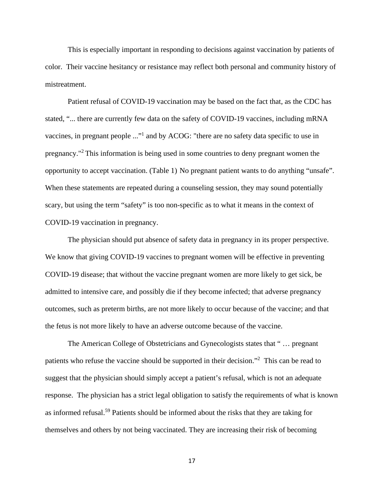This is especially important in responding to decisions against vaccination by patients of color. Their vaccine hesitancy or resistance may reflect both personal and community history of mistreatment.

Patient refusal of COVID-19 vaccination may be based on the fact that, as the CDC has stated, "... there are currently few data on the safety of COVID-19 vaccines, including mRNA vaccines, in pregnant people ..."1 and by ACOG: "there are no safety data specific to use in pregnancy."2 This information is being used in some countries to deny pregnant women the opportunity to accept vaccination. (Table 1) No pregnant patient wants to do anything "unsafe". When these statements are repeated during a counseling session, they may sound potentially scary, but using the term "safety" is too non-specific as to what it means in the context of COVID-19 vaccination in pregnancy.

The physician should put absence of safety data in pregnancy in its proper perspective. We know that giving COVID-19 vaccines to pregnant women will be effective in preventing COVID-19 disease; that without the vaccine pregnant women are more likely to get sick, be admitted to intensive care, and possibly die if they become infected; that adverse pregnancy outcomes, such as preterm births, are not more likely to occur because of the vaccine; and that the fetus is not more likely to have an adverse outcome because of the vaccine.

The American College of Obstetricians and Gynecologists states that " … pregnant patients who refuse the vaccine should be supported in their decision."<sup>2</sup> This can be read to suggest that the physician should simply accept a patient's refusal, which is not an adequate response. The physician has a strict legal obligation to satisfy the requirements of what is known as informed refusal.<sup>59</sup> Patients should be informed about the risks that they are taking for themselves and others by not being vaccinated. They are increasing their risk of becoming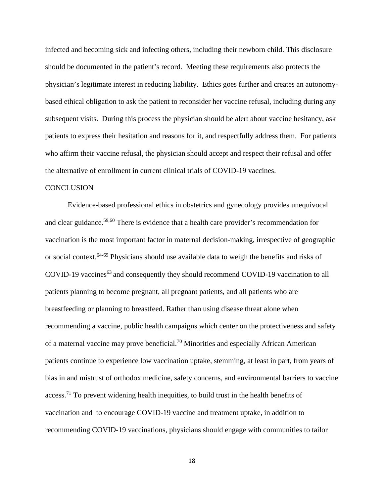infected and becoming sick and infecting others, including their newborn child. This disclosure should be documented in the patient's record. Meeting these requirements also protects the physician's legitimate interest in reducing liability. Ethics goes further and creates an autonomybased ethical obligation to ask the patient to reconsider her vaccine refusal, including during any subsequent visits. During this process the physician should be alert about vaccine hesitancy, ask patients to express their hesitation and reasons for it, and respectfully address them. For patients who affirm their vaccine refusal, the physician should accept and respect their refusal and offer the alternative of enrollment in current clinical trials of COVID-19 vaccines.

### **CONCLUSION**

Evidence-based professional ethics in obstetrics and gynecology provides unequivocal and clear guidance.59,60 There is evidence that a health care provider's recommendation for vaccination is the most important factor in maternal decision-making, irrespective of geographic or social context.64-69 Physicians should use available data to weigh the benefits and risks of COVID-19 vaccines<sup>63</sup> and consequently they should recommend COVID-19 vaccination to all patients planning to become pregnant, all pregnant patients, and all patients who are breastfeeding or planning to breastfeed. Rather than using disease threat alone when recommending a vaccine, public health campaigns which center on the protectiveness and safety of a maternal vaccine may prove beneficial.<sup>70</sup> Minorities and especially African American patients continue to experience low vaccination uptake, stemming, at least in part, from years of bias in and mistrust of orthodox medicine, safety concerns, and environmental barriers to vaccine access.71 To prevent widening health inequities, to build trust in the health benefits of vaccination and to encourage COVID-19 vaccine and treatment uptake, in addition to recommending COVID-19 vaccinations, physicians should engage with communities to tailor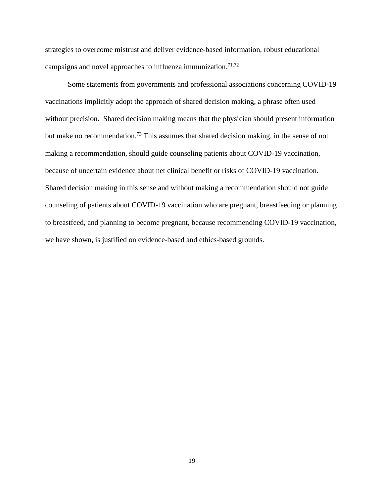strategies to overcome mistrust and deliver evidence-based information, robust educational campaigns and novel approaches to influenza immunization.<sup>71,72</sup>

Some statements from governments and professional associations concerning COVID-19 vaccinations implicitly adopt the approach of shared decision making, a phrase often used without precision. Shared decision making means that the physician should present information but make no recommendation.<sup>73</sup> This assumes that shared decision making, in the sense of not making a recommendation, should guide counseling patients about COVID-19 vaccination, because of uncertain evidence about net clinical benefit or risks of COVID-19 vaccination. Shared decision making in this sense and without making a recommendation should not guide counseling of patients about COVID-19 vaccination who are pregnant, breastfeeding or planning to breastfeed, and planning to become pregnant, because recommending COVID-19 vaccination, we have shown, is justified on evidence-based and ethics-based grounds.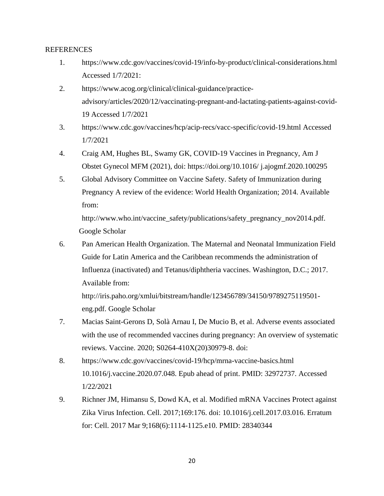## REFERENCES

- 1. https://www.cdc.gov/vaccines/covid-19/info-by-product/clinical-considerations.html Accessed 1/7/2021:
- 2. https://www.acog.org/clinical/clinical-guidance/practiceadvisory/articles/2020/12/vaccinating-pregnant-and-lactating-patients-against-covid-19 Accessed 1/7/2021
- 3. [https://www.cdc.gov/vaccines/hcp/acip-recs/vacc-specific/covid-19.html Accessed](https://www.cdc.gov/vaccines/hcp/acip-recs/vacc-specific/covid-19.html%20Accessed%201/7/2021)  [1/7/2021](https://www.cdc.gov/vaccines/hcp/acip-recs/vacc-specific/covid-19.html%20Accessed%201/7/2021)
- 4. Craig AM, Hughes BL, Swamy GK, COVID-19 Vaccines in Pregnancy, Am J Obstet Gynecol MFM (2021), doi: https://doi.org/10.1016/ j.ajogmf.2020.100295
- 5. Global Advisory Committee on Vaccine Safety. Safety of Immunization during Pregnancy A review of the evidence: World Health Organization; 2014. Available from:

http://www.who.int/vaccine\_safety/publications/safety\_pregnancy\_nov2014.pdf. Google Scholar

6. Pan American Health Organization. The Maternal and Neonatal Immunization Field Guide for Latin America and the Caribbean recommends the administration of Influenza (inactivated) and Tetanus/diphtheria vaccines. Washington, D.C.; 2017. Available from:

[http://iris.paho.org/xmlui/bitstream/handle/123456789/34150/9789275119501](http://iris.paho.org/xmlui/bitstream/handle/123456789/34150/9789275119501-eng.pdf) [eng.pdf.](http://iris.paho.org/xmlui/bitstream/handle/123456789/34150/9789275119501-eng.pdf) Google Scholar

- 7. Macias Saint-Gerons D, Solà Arnau I, De Mucio B, et al. Adverse events associated with the use of recommended vaccines during pregnancy: An overview of systematic reviews. Vaccine. 2020; S0264-410X(20)30979-8. doi:
- 8. https://www.cdc.gov/vaccines/covid-19/hcp/mrna-vaccine-basics.html 10.1016/j.vaccine.2020.07.048. Epub ahead of print. PMID: 32972737. Accessed 1/22/2021
- 9. Richner JM, Himansu S, Dowd KA, et al. Modified mRNA Vaccines Protect against Zika Virus Infection. Cell. 2017;169:176. doi: 10.1016/j.cell.2017.03.016. Erratum for: Cell. 2017 Mar 9;168(6):1114-1125.e10. PMID: 28340344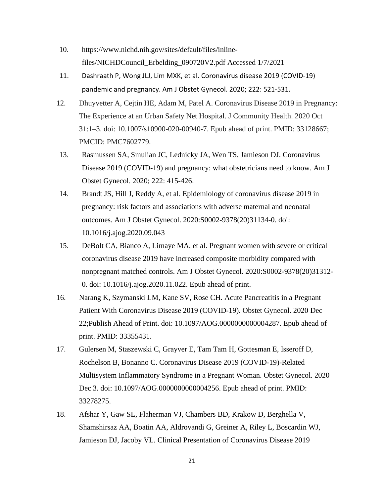- 10. https://www.nichd.nih.gov/sites/default/files/inlinefiles/NICHDCouncil\_Erbelding\_090720V2.pdf Accessed 1/7/2021
- 11. Dashraath P, Wong JLJ, Lim MXK, et al. Coronavirus disease 2019 (COVID-19) pandemic and pregnancy. Am J Obstet Gynecol. 2020; 222: 521-531.
- 12. Dhuyvetter A, Cejtin HE, Adam M, Patel A. Coronavirus Disease 2019 in Pregnancy: The Experience at an Urban Safety Net Hospital. J Community Health. 2020 Oct 31:1–3. doi: 10.1007/s10900-020-00940-7. Epub ahead of print. PMID: 33128667; PMCID: PMC7602779.
- 13. Rasmussen SA, Smulian JC, Lednicky JA, Wen TS, Jamieson DJ. Coronavirus Disease 2019 (COVID-19) and pregnancy: what obstetricians need to know. Am J Obstet Gynecol. 2020; 222: 415-426.
- 14. Brandt JS, Hill J, Reddy A, et al. Epidemiology of coronavirus disease 2019 in pregnancy: risk factors and associations with adverse maternal and neonatal outcomes. Am J Obstet Gynecol. 2020:S0002-9378(20)31134-0. doi: 10.1016/j.ajog.2020.09.043
- 15. DeBolt CA, Bianco A, Limaye MA, et al. Pregnant women with severe or critical coronavirus disease 2019 have increased composite morbidity compared with nonpregnant matched controls. Am J Obstet Gynecol. 2020:S0002-9378(20)31312- 0. doi: 10.1016/j.ajog.2020.11.022. Epub ahead of print.
- 16. Narang K, Szymanski LM, Kane SV, Rose CH. Acute Pancreatitis in a Pregnant Patient With Coronavirus Disease 2019 (COVID-19). Obstet Gynecol. 2020 Dec 22;Publish Ahead of Print. doi: 10.1097/AOG.0000000000004287. Epub ahead of print. PMID: 33355431.
- 17. Gulersen M, Staszewski C, Grayver E, Tam Tam H, Gottesman E, Isseroff D, Rochelson B, Bonanno C. Coronavirus Disease 2019 (COVID-19)-Related Multisystem Inflammatory Syndrome in a Pregnant Woman. Obstet Gynecol. 2020 Dec 3. doi: 10.1097/AOG.0000000000004256. Epub ahead of print. PMID: 33278275.
- 18. Afshar Y, Gaw SL, Flaherman VJ, Chambers BD, Krakow D, Berghella V, Shamshirsaz AA, Boatin AA, Aldrovandi G, Greiner A, Riley L, Boscardin WJ, Jamieson DJ, Jacoby VL. Clinical Presentation of Coronavirus Disease 2019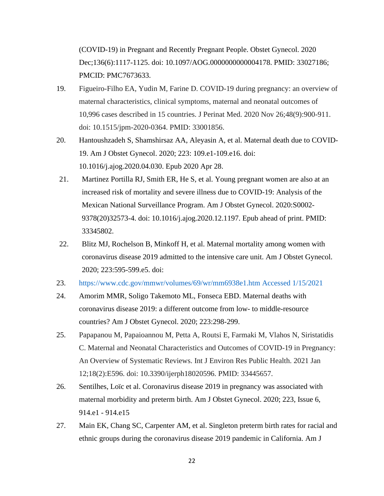(COVID-19) in Pregnant and Recently Pregnant People. Obstet Gynecol. 2020 Dec;136(6):1117-1125. doi: 10.1097/AOG.0000000000004178. PMID: 33027186; PMCID: PMC7673633.

- 19. Figueiro-Filho EA, Yudin M, Farine D. COVID-19 during pregnancy: an overview of maternal characteristics, clinical symptoms, maternal and neonatal outcomes of 10,996 cases described in 15 countries. J Perinat Med. 2020 Nov 26;48(9):900-911. doi: 10.1515/jpm-2020-0364. PMID: 33001856.
- 20. Hantoushzadeh S, Shamshirsaz AA, Aleyasin A, et al. Maternal death due to COVID-19. Am J Obstet Gynecol. 2020; 223: 109.e1-109.e16. doi: 10.1016/j.ajog.2020.04.030. Epub 2020 Apr 28.
- 21. Martinez Portilla RJ, Smith ER, He S, et al. Young pregnant women are also at an increased risk of mortality and severe illness due to COVID-19: Analysis of the Mexican National Surveillance Program. Am J Obstet Gynecol. 2020:S0002- 9378(20)32573-4. doi: 10.1016/j.ajog.2020.12.1197. Epub ahead of print. PMID: 33345802.
- 22. Blitz MJ, Rochelson B, Minkoff H, et al. Maternal mortality among women with coronavirus disease 2019 admitted to the intensive care unit. Am J Obstet Gynecol. 2020; 223:595-599.e5. doi:
- 23. [https://www.cdc.gov/mmwr/volumes/69/wr/mm6938e1.htm Accessed 1/15/2021](https://www.cdc.gov/mmwr/volumes/69/wr/mm6938e1.htm%20Accessed%201/15/2021)
- 24. Amorim MMR, Soligo Takemoto ML, Fonseca EBD. Maternal deaths with coronavirus disease 2019: a different outcome from low- to middle-resource countries? Am J Obstet Gynecol. 2020; 223:298-299.
- 25. Papapanou M, Papaioannou M, Petta A, Routsi E, Farmaki M, Vlahos N, Siristatidis C. Maternal and Neonatal Characteristics and Outcomes of COVID-19 in Pregnancy: An Overview of Systematic Reviews. Int J Environ Res Public Health. 2021 Jan 12;18(2):E596. doi: 10.3390/ijerph18020596. PMID: 33445657.
- 26. Sentilhes, Loïc et al. Coronavirus disease 2019 in pregnancy was associated with maternal morbidity and preterm birth. Am J Obstet Gynecol. 2020; 223, Issue 6, 914.e1 - 914.e15
- 27. Main EK, Chang SC, Carpenter AM, et al. Singleton preterm birth rates for racial and ethnic groups during the coronavirus disease 2019 pandemic in California. Am J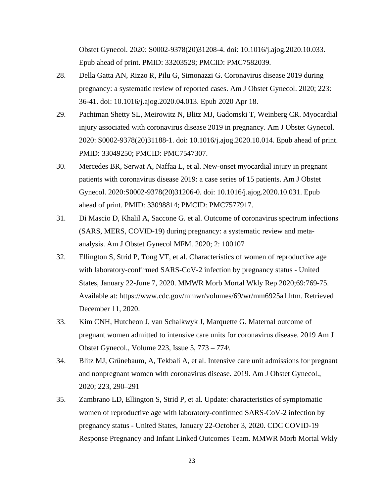Obstet Gynecol. 2020: S0002-9378(20)31208-4. doi: 10.1016/j.ajog.2020.10.033. Epub ahead of print. PMID: 33203528; PMCID: PMC7582039.

- 28. Della Gatta AN, Rizzo R, Pilu G, Simonazzi G. Coronavirus disease 2019 during pregnancy: a systematic review of reported cases. Am J Obstet Gynecol. 2020; 223: 36-41. doi: 10.1016/j.ajog.2020.04.013. Epub 2020 Apr 18.
- 29. Pachtman Shetty SL, Meirowitz N, Blitz MJ, Gadomski T, Weinberg CR. Myocardial injury associated with coronavirus disease 2019 in pregnancy. Am J Obstet Gynecol. 2020: S0002-9378(20)31188-1. doi: 10.1016/j.ajog.2020.10.014. Epub ahead of print. PMID: 33049250; PMCID: PMC7547307.
- 30. Mercedes BR, Serwat A, Naffaa L, et al. New-onset myocardial injury in pregnant patients with coronavirus disease 2019: a case series of 15 patients. Am J Obstet Gynecol. 2020:S0002-9378(20)31206-0. doi: 10.1016/j.ajog.2020.10.031. Epub ahead of print. PMID: 33098814; PMCID: PMC7577917.
- 31. Di Mascio D, Khalil A, Saccone G. et al. Outcome of coronavirus spectrum infections (SARS, MERS, COVID-19) during pregnancy: a systematic review and metaanalysis. Am J Obstet Gynecol MFM. 2020; 2: 100107
- 32. Ellington S, Strid P, Tong VT, et al. Characteristics of women of reproductive age with laboratory-confirmed SARS-CoV-2 infection by pregnancy status - United States, January 22-June 7, 2020. MMWR Morb Mortal Wkly Rep 2020;69:769-75. Available at: https://www.cdc.gov/mmwr/volumes/69/wr/mm6925a1.htm. Retrieved December 11, 2020.
- 33. Kim CNH, Hutcheon J, van Schalkwyk J, Marquette G. Maternal outcome of pregnant women admitted to intensive care units for coronavirus disease. 2019 Am J Obstet Gynecol., Volume 223, Issue 5, 773 – 774\
- 34. Blitz MJ, Grünebaum, A, Tekbali A, et al. Intensive care unit admissions for pregnant and nonpregnant women with coronavirus disease. 2019. Am J Obstet Gynecol., 2020; 223, 290–291
- 35. Zambrano LD, Ellington S, Strid P, et al. Update: characteristics of symptomatic women of reproductive age with laboratory-confirmed SARS-CoV-2 infection by pregnancy status - United States, January 22-October 3, 2020. CDC COVID-19 Response Pregnancy and Infant Linked Outcomes Team. MMWR Morb Mortal Wkly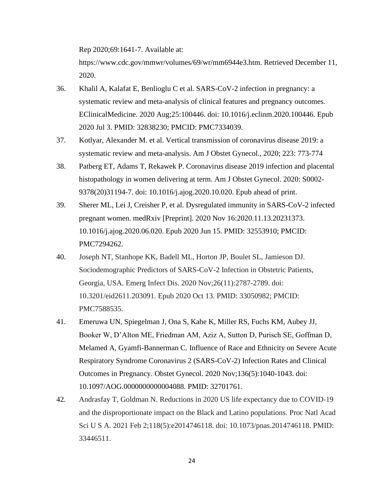Rep 2020;69:1641-7. Available at:

https://www.cdc.gov/mmwr/volumes/69/wr/mm6944e3.htm. Retrieved December 11, 2020.

- 36. Khalil A, Kalafat E, Benlioglu C et al. SARS-CoV-2 infection in pregnancy: a systematic review and meta-analysis of clinical features and pregnancy outcomes. EClinicalMedicine. 2020 Aug;25:100446. doi: 10.1016/j.eclinm.2020.100446. Epub 2020 Jul 3. PMID: 32838230; PMCID: PMC7334039.
- 37. Kotlyar, Alexander M. et al. Vertical transmission of coronavirus disease 2019: a systematic review and meta-analysis. Am J Obstet Gynecol., 2020; 223: 773-774
- 38. Patberg ET, Adams T, Rekawek P. Coronavirus disease 2019 infection and placental histopathology in women delivering at term. Am J Obstet Gynecol. 2020: S0002- 9378(20)31194-7. doi: 10.1016/j.ajog.2020.10.020. Epub ahead of print.
- 39. Sherer ML, Lei J, Creisher P, et al. Dysregulated immunity in SARS-CoV-2 infected pregnant women. medRxiv [Preprint]. 2020 Nov 16:2020.11.13.20231373. 10.1016/j.ajog.2020.06.020. Epub 2020 Jun 15. PMID: 32553910; PMCID: PMC7294262.
- 40. Joseph NT, Stanhope KK, Badell ML, Horton JP, Boulet SL, Jamieson DJ. Sociodemographic Predictors of SARS-CoV-2 Infection in Obstetric Patients, Georgia, USA. Emerg Infect Dis. 2020 Nov;26(11):2787-2789. doi: 10.3201/eid2611.203091. Epub 2020 Oct 13. PMID: 33050982; PMCID: PMC7588535.
- 41. Emeruwa UN, Spiegelman J, Ona S, Kahe K, Miller RS, Fuchs KM, Aubey JJ, Booker W, D'Alton ME, Friedman AM, Aziz A, Sutton D, Purisch SE, Goffman D, Melamed A, Gyamfi-Bannerman C. Influence of Race and Ethnicity on Severe Acute Respiratory Syndrome Coronavirus 2 (SARS-CoV-2) Infection Rates and Clinical Outcomes in Pregnancy. Obstet Gynecol. 2020 Nov;136(5):1040-1043. doi: 10.1097/AOG.0000000000004088. PMID: 32701761.
- 42. Andrasfay T, Goldman N. Reductions in 2020 US life expectancy due to COVID-19 and the disproportionate impact on the Black and Latino populations. Proc Natl Acad Sci U S A. 2021 Feb 2;118(5):e2014746118. doi: 10.1073/pnas.2014746118. PMID: 33446511.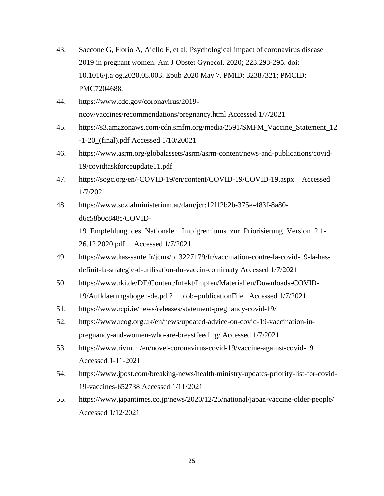- 43. Saccone G, Florio A, Aiello F, et al. Psychological impact of coronavirus disease 2019 in pregnant women. Am J Obstet Gynecol. 2020; 223:293-295. doi: 10.1016/j.ajog.2020.05.003. Epub 2020 May 7. PMID: 32387321; PMCID: PMC7204688.
- 44. https://www.cdc.gov/coronavirus/2019 ncov/vaccines/recommendations/pregnancy.html Accessed 1/7/2021
- 45. [https://s3.amazonaws.com/cdn.smfm.org/media/2591/SMFM\\_Vaccine\\_Statement\\_12](https://s3.amazonaws.com/cdn.smfm.org/media/2591/SMFM_Vaccine_Statement_12-1-20_(final).pdf) [-1-20\\_\(final\).pdf](https://s3.amazonaws.com/cdn.smfm.org/media/2591/SMFM_Vaccine_Statement_12-1-20_(final).pdf) Accessed 1/10/20021
- 46. https://www.asrm.org/globalassets/asrm/asrm-content/news-and-publications/covid-19/covidtaskforceupdate11.pdf
- 47. https://sogc.org/en/-COVID-19/en/content/COVID-19/COVID-19.aspx Accessed 1/7/2021
- 48. https://www.sozialministerium.at/dam/jcr:12f12b2b-375e-483f-8a80 d6c58b0c848c/COVID-19\_Empfehlung\_des\_Nationalen\_Impfgremiums\_zur\_Priorisierung\_Version\_2.1- 26.12.2020.pdf Accessed 1/7/2021
- 49. [https://www.has-sante.fr/jcms/p\\_3227179/fr/vaccination-contre-la-covid-19-la-has](https://www.has-sante.fr/jcms/p_3227179/fr/vaccination-contre-la-covid-19-la-has-definit-la-strategie-d-utilisation-du-vaccin-comirnaty%20Accessed%201/7/2021)[definit-la-strategie-d-utilisation-du-vaccin-comirnaty Accessed 1/7/2021](https://www.has-sante.fr/jcms/p_3227179/fr/vaccination-contre-la-covid-19-la-has-definit-la-strategie-d-utilisation-du-vaccin-comirnaty%20Accessed%201/7/2021)
- 50. https://www.rki.de/DE/Content/Infekt/Impfen/Materialien/Downloads-COVID-19/Aufklaerungsbogen-de.pdf?\_\_blob=publicationFile Accessed 1/7/2021
- 51. https://www.rcpi.ie/news/releases/statement-pregnancy-covid-19/
- 52. https://www.rcog.org.uk/en/news/updated-advice-on-covid-19-vaccination-inpregnancy-and-women-who-are-breastfeeding/ Accessed 1/7/2021
- 53. [https://www.rivm.nl/en/novel-coronavirus-covid-19/vaccine-against-covid-19](https://www.rivm.nl/en/novel-coronavirus-covid-19/vaccine-against-covid-19%20Accessed%201-11-2021)  [Accessed 1-11-2021](https://www.rivm.nl/en/novel-coronavirus-covid-19/vaccine-against-covid-19%20Accessed%201-11-2021)
- 54. [https://www.jpost.com/breaking-news/health-ministry-updates-priority-list-for-covid-](https://www.jpost.com/breaking-news/health-ministry-updates-priority-list-for-covid-19-vaccines-652738%20Accessed%201/11/2021)[19-vaccines-652738 Accessed 1/11/2021](https://www.jpost.com/breaking-news/health-ministry-updates-priority-list-for-covid-19-vaccines-652738%20Accessed%201/11/2021)
- 55. <https://www.japantimes.co.jp/news/2020/12/25/national/japan-vaccine-older-people/> Accessed 1/12/2021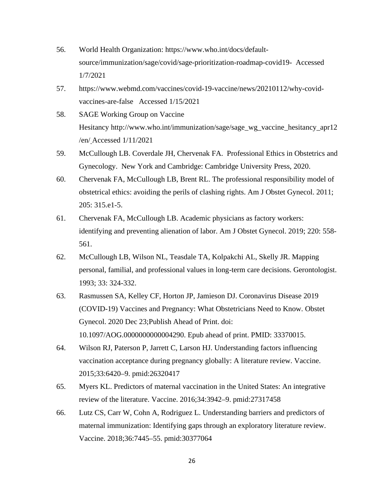- 56. World Health Organization: https://www.who.int/docs/defaultsource/immunization/sage/covid/sage-prioritization-roadmap-covid19- Accessed 1/7/2021
- 57. https://www.webmd.com/vaccines/covid-19-vaccine/news/20210112/why-covidvaccines-are-false Accessed 1/15/2021
- 58. SAGE Working Group on Vaccine Hesitancy http://www.who.int/immunization/sage/sage\_wg\_vaccine\_hesitancy\_apr12 /en/ Accessed 1/11/2021
- 59. McCullough LB. Coverdale JH, Chervenak FA. Professional Ethics in Obstetrics and Gynecology. New York and Cambridge: Cambridge University Press, 2020.
- 60. Chervenak FA, McCullough LB, Brent RL. The professional responsibility model of obstetrical ethics: avoiding the perils of clashing rights. Am J Obstet Gynecol. 2011; 205: 315.e1-5.
- 61. Chervenak FA, McCullough LB. Academic physicians as factory workers: identifying and preventing alienation of labor. Am J Obstet Gynecol. 2019; 220: 558- 561.
- 62. McCullough LB, Wilson NL, Teasdale TA, Kolpakchi AL, Skelly JR. Mapping personal, familial, and professional values in long-term care decisions. Gerontologist. 1993; 33: 324-332.
- 63. Rasmussen SA, Kelley CF, Horton JP, Jamieson DJ. Coronavirus Disease 2019 (COVID-19) Vaccines and Pregnancy: What Obstetricians Need to Know. Obstet Gynecol. 2020 Dec 23;Publish Ahead of Print. doi: 10.1097/AOG.0000000000004290. Epub ahead of print. PMID: 33370015.
- 64. Wilson RJ, Paterson P, Jarrett C, Larson HJ. Understanding factors influencing vaccination acceptance during pregnancy globally: A literature review. Vaccine. 2015;33:6420–9. pmid:26320417
- 65. Myers KL. Predictors of maternal vaccination in the United States: An integrative review of the literature. Vaccine. 2016;34:3942–9. pmid:27317458
- 66. Lutz CS, Carr W, Cohn A, Rodriguez L. Understanding barriers and predictors of maternal immunization: Identifying gaps through an exploratory literature review. Vaccine. 2018;36:7445–55. pmid:30377064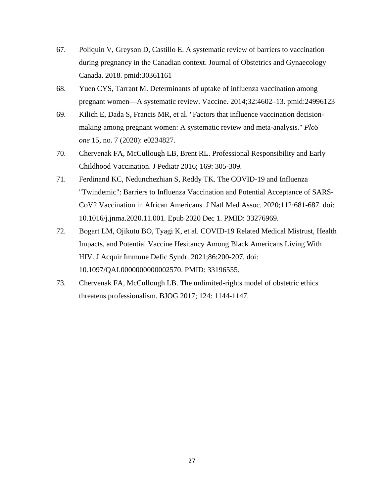- 67. Poliquin V, Greyson D, Castillo E. A systematic review of barriers to vaccination during pregnancy in the Canadian context. Journal of Obstetrics and Gynaecology Canada. 2018. pmid:30361161
- 68. Yuen CYS, Tarrant M. Determinants of uptake of influenza vaccination among pregnant women—A systematic review. Vaccine. 2014;32:4602–13. pmid:24996123
- 69. Kilich E, Dada S, Francis MR, et al. "Factors that influence vaccination decisionmaking among pregnant women: A systematic review and meta-analysis." *PloS one* 15, no. 7 (2020): e0234827.
- 70. Chervenak FA, McCullough LB, Brent RL. Professional Responsibility and Early Childhood Vaccination. J Pediatr 2016; 169: 305-309.
- 71. Ferdinand KC, Nedunchezhian S, Reddy TK. The COVID-19 and Influenza "Twindemic": Barriers to Influenza Vaccination and Potential Acceptance of SARS-CoV2 Vaccination in African Americans. J Natl Med Assoc. 2020;112:681-687. doi: 10.1016/j.jnma.2020.11.001. Epub 2020 Dec 1. PMID: 33276969.
- 72. Bogart LM, Ojikutu BO, Tyagi K, et al. COVID-19 Related Medical Mistrust, Health Impacts, and Potential Vaccine Hesitancy Among Black Americans Living With HIV. J Acquir Immune Defic Syndr. 2021;86:200-207. doi: 10.1097/QAI.0000000000002570. PMID: 33196555.
- 73. Chervenak FA, McCullough LB. The unlimited-rights model of obstetric ethics threatens professionalism. BJOG 2017; 124: 1144-1147.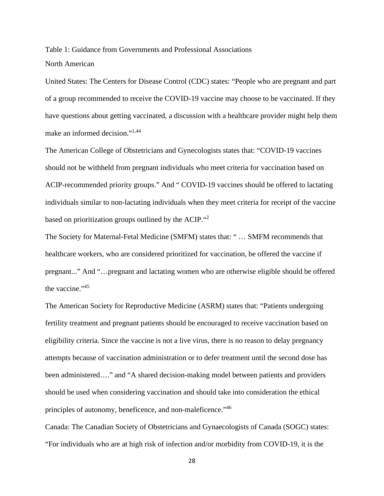Table 1: Guidance from Governments and Professional Associations North American

United States: The Centers for Disease Control (CDC) states: "People who are pregnant and part of a group recommended to receive the COVID-19 vaccine may choose to be vaccinated. If they have questions about getting vaccinated, a discussion with a healthcare provider might help them make an informed decision."1,44

The American College of Obstetricians and Gynecologists states that: "COVID-19 vaccines should not be withheld from pregnant individuals who meet criteria for vaccination based on ACIP-recommended priority groups." And " COVID-19 vaccines should be offered to lactating individuals similar to non-lactating individuals when they meet criteria for receipt of the vaccine based on prioritization groups outlined by the ACIP."2

The Society for Maternal-Fetal Medicine (SMFM) states that: " … SMFM recommends that healthcare workers, who are considered prioritized for vaccination, be offered the vaccine if pregnant..." And "…pregnant and lactating women who are otherwise eligible should be offered the vaccine."45

The American Society for Reproductive Medicine (ASRM) states that: "Patients undergoing fertility treatment and pregnant patients should be encouraged to receive vaccination based on eligibility criteria. Since the vaccine is not a live virus, there is no reason to delay pregnancy attempts because of vaccination administration or to defer treatment until the second dose has been administered…." and "A shared decision-making model between patients and providers should be used when considering vaccination and should take into consideration the ethical principles of autonomy, beneficence, and non-maleficence."<sup>46</sup>

Canada: The Canadian Society of Obstetricians and Gynaecologists of Canada (SOGC) states: "For individuals who are at high risk of infection and/or morbidity from COVID-19, it is the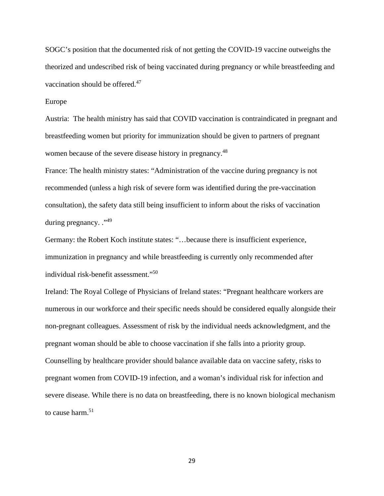SOGC's position that the documented risk of not getting the COVID-19 vaccine outweighs the theorized and undescribed risk of being vaccinated during pregnancy or while breastfeeding and vaccination should be offered.<sup>47</sup>

#### Europe

Austria: The health ministry has said that COVID vaccination is contraindicated in pregnant and breastfeeding women but priority for immunization should be given to partners of pregnant women because of the severe disease history in pregnancy.48

France: The health ministry states: "Administration of the vaccine during pregnancy is not recommended (unless a high risk of severe form was identified during the pre-vaccination consultation), the safety data still being insufficient to inform about the risks of vaccination during pregnancy. ."49

Germany: the Robert Koch institute states: "…because there is insufficient experience, immunization in pregnancy and while breastfeeding is currently only recommended after individual risk-benefit assessment."50

Ireland: The Royal College of Physicians of Ireland states: "Pregnant healthcare workers are numerous in our workforce and their specific needs should be considered equally alongside their non-pregnant colleagues. Assessment of risk by the individual needs acknowledgment, and the pregnant woman should be able to choose vaccination if she falls into a priority group. Counselling by healthcare provider should balance available data on vaccine safety, risks to pregnant women from COVID-19 infection, and a woman's individual risk for infection and severe disease. While there is no data on breastfeeding, there is no known biological mechanism to cause harm.<sup>51</sup>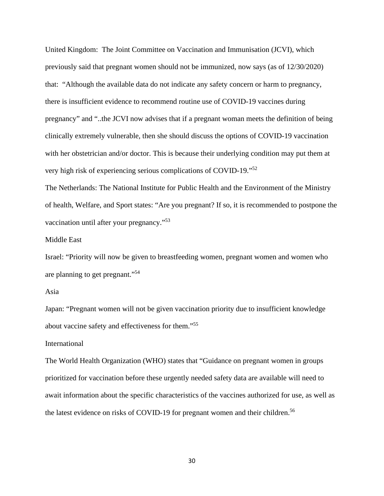United Kingdom: The Joint Committee on Vaccination and Immunisation (JCVI), which previously said that pregnant women should not be immunized, now says (as of 12/30/2020) that: "Although the available data do not indicate any safety concern or harm to pregnancy, there is insufficient evidence to recommend routine use of COVID-19 vaccines during pregnancy" and "..the JCVI now advises that if a pregnant woman meets the definition of being clinically extremely vulnerable, then she should discuss the options of COVID-19 vaccination with her obstetrician and/or doctor. This is because their underlying condition may put them at very high risk of experiencing serious complications of COVID-19."52

The Netherlands: The National Institute for Public Health and the Environment of the Ministry of health, Welfare, and Sport states: "Are you pregnant? If so, it is recommended to postpone the vaccination until after your pregnancy."53

#### Middle East

Israel: "Priority will now be given to breastfeeding women, pregnant women and women who are planning to get pregnant."54

## Asia

Japan: "Pregnant women will not be given vaccination priority due to insufficient knowledge about vaccine safety and effectiveness for them."55

### International

The World Health Organization (WHO) states that "Guidance on pregnant women in groups prioritized for vaccination before these urgently needed safety data are available will need to await information about the specific characteristics of the vaccines authorized for use, as well as the latest evidence on risks of COVID-19 for pregnant women and their children.<sup>56</sup>